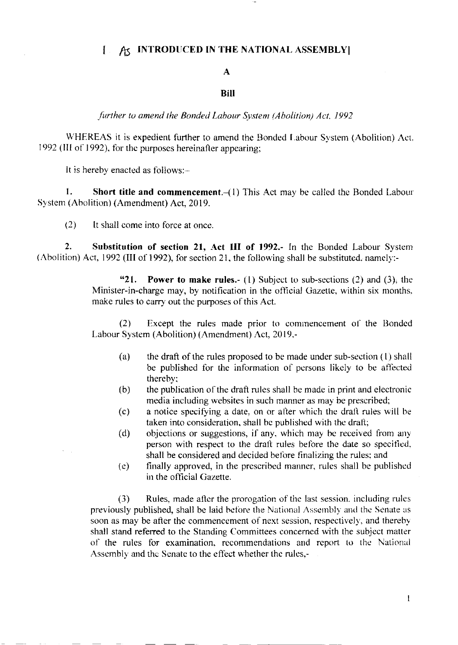## A INTRODUCED IN THE NATIONAL ASSEMBLY  $\mathbf{I}$

## $\mathbf{A}$

## **Bill**

further to amend the Bonded Labour System (Abolition) Act, 1992

WHEREAS it is expedient further to amend the Bonded Labour System (Abolition) Act. 1992 (III of 1992), for the purposes hereinafter appearing;

It is hereby enacted as follows:-

1. **Short title and commencement.**  $-(1)$  This Act may be called the Bonded Labour System (Abolition) (Amendment) Act, 2019.

 $(2)$ It shall come into force at once.

 $2.$ Substitution of section 21, Act III of 1992. In the Bonded Labour System (Abolition) Act, 1992 (III of 1992), for section 21, the following shall be substituted, namely:-

> **Power to make rules.**- (1) Subject to sub-sections (2) and (3), the  $"21.$ Minister-in-charge may, by notification in the official Gazette, within six months, make rules to carry out the purposes of this Act.

> $(2)$ Except the rules made prior to commencement of the Bonded Labour System (Abolition) (Amendment) Act, 2019,-

- the draft of the rules proposed to be made under sub-section (1) shall  $(a)$ be published for the information of persons likely to be affected thereby;
- the publication of the draft rules shall be made in print and electronic  $(b)$ media including websites in such manner as may be prescribed;
- a notice specifying a date, on or after which the draft rules will be  $(c)$ taken into consideration, shall be published with the draft;
- objections or suggestions, if any, which may be received from any  $(d)$ person with respect to the draft rules before the date so specified, shall be considered and decided before finalizing the rules; and
- finally approved, in the prescribed manner, rules shall be published  $(e)$ in the official Gazette.

Rules, made after the prorogation of the last session, including rules  $(3)$ previously published, shall be laid before the National Assembly and the Senate as soon as may be after the commencement of next session, respectively, and thereby shall stand referred to the Standing Committees concerned with the subject matter of the rules for examination, recommendations and report to the National Assembly and the Senate to the effect whether the rules,-